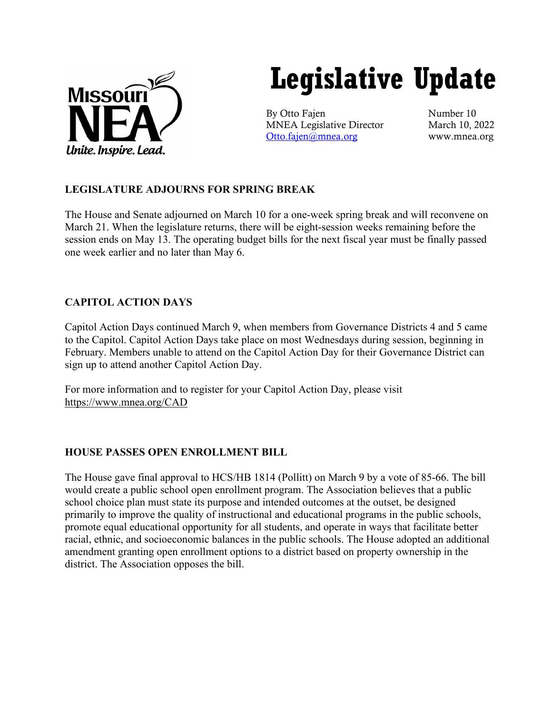

# **Legislative Update**

By Otto Fajen Number 10 MNEA Legislative Director March 10, 2022 [Otto.fajen@mnea.org](mailto:Otto.fajen@mnea.org) www.mnea.org

# **LEGISLATURE ADJOURNS FOR SPRING BREAK**

The House and Senate adjourned on March 10 for a one-week spring break and will reconvene on March 21. When the legislature returns, there will be eight-session weeks remaining before the session ends on May 13. The operating budget bills for the next fiscal year must be finally passed one week earlier and no later than May 6.

# **CAPITOL ACTION DAYS**

Capitol Action Days continued March 9, when members from Governance Districts 4 and 5 came to the Capitol. Capitol Action Days take place on most Wednesdays during session, beginning in February. Members unable to attend on the Capitol Action Day for their Governance District can sign up to attend another Capitol Action Day.

For more information and to register for your Capitol Action Day, please visit <https://www.mnea.org/CAD>

## **HOUSE PASSES OPEN ENROLLMENT BILL**

The House gave final approval to HCS/HB 1814 (Pollitt) on March 9 by a vote of 85-66. The bill would create a public school open enrollment program. The Association believes that a public school choice plan must state its purpose and intended outcomes at the outset, be designed primarily to improve the quality of instructional and educational programs in the public schools, promote equal educational opportunity for all students, and operate in ways that facilitate better racial, ethnic, and socioeconomic balances in the public schools. The House adopted an additional amendment granting open enrollment options to a district based on property ownership in the district. The Association opposes the bill.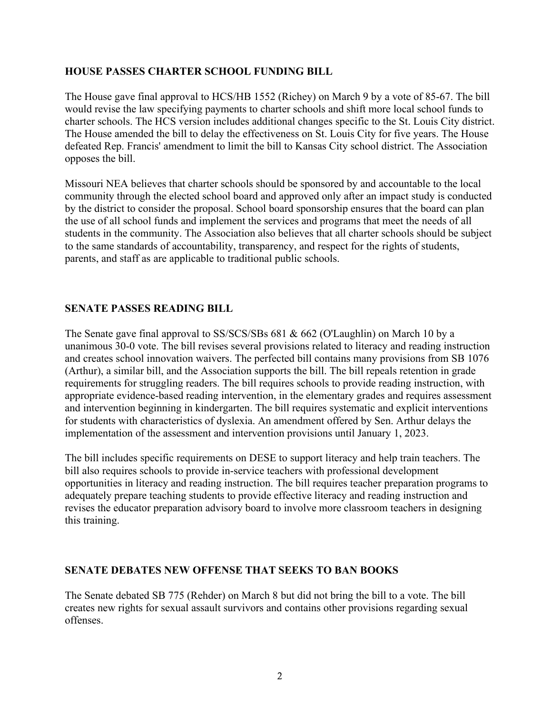### **HOUSE PASSES CHARTER SCHOOL FUNDING BILL**

The House gave final approval to HCS/HB 1552 (Richey) on March 9 by a vote of 85-67. The bill would revise the law specifying payments to charter schools and shift more local school funds to charter schools. The HCS version includes additional changes specific to the St. Louis City district. The House amended the bill to delay the effectiveness on St. Louis City for five years. The House defeated Rep. Francis' amendment to limit the bill to Kansas City school district. The Association opposes the bill.

Missouri NEA believes that charter schools should be sponsored by and accountable to the local community through the elected school board and approved only after an impact study is conducted by the district to consider the proposal. School board sponsorship ensures that the board can plan the use of all school funds and implement the services and programs that meet the needs of all students in the community. The Association also believes that all charter schools should be subject to the same standards of accountability, transparency, and respect for the rights of students, parents, and staff as are applicable to traditional public schools.

### **SENATE PASSES READING BILL**

The Senate gave final approval to SS/SCS/SBs 681 & 662 (O'Laughlin) on March 10 by a unanimous 30-0 vote. The bill revises several provisions related to literacy and reading instruction and creates school innovation waivers. The perfected bill contains many provisions from SB 1076 (Arthur), a similar bill, and the Association supports the bill. The bill repeals retention in grade requirements for struggling readers. The bill requires schools to provide reading instruction, with appropriate evidence-based reading intervention, in the elementary grades and requires assessment and intervention beginning in kindergarten. The bill requires systematic and explicit interventions for students with characteristics of dyslexia. An amendment offered by Sen. Arthur delays the implementation of the assessment and intervention provisions until January 1, 2023.

The bill includes specific requirements on DESE to support literacy and help train teachers. The bill also requires schools to provide in-service teachers with professional development opportunities in literacy and reading instruction. The bill requires teacher preparation programs to adequately prepare teaching students to provide effective literacy and reading instruction and revises the educator preparation advisory board to involve more classroom teachers in designing this training.

## **SENATE DEBATES NEW OFFENSE THAT SEEKS TO BAN BOOKS**

The Senate debated SB 775 (Rehder) on March 8 but did not bring the bill to a vote. The bill creates new rights for sexual assault survivors and contains other provisions regarding sexual offenses.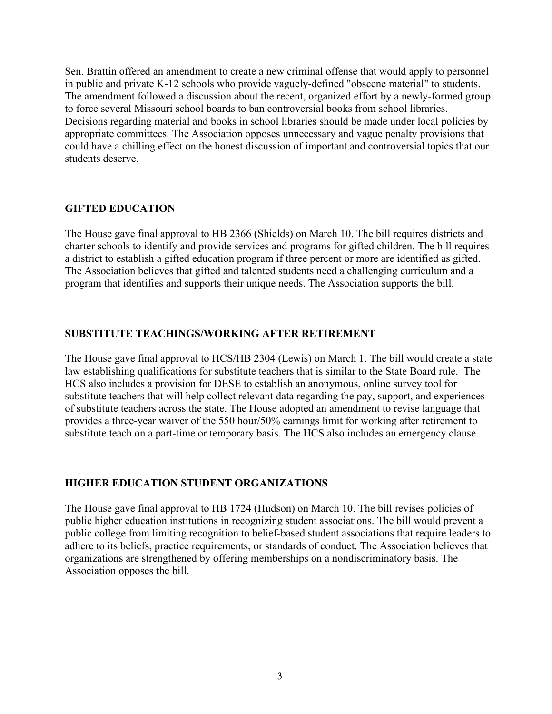Sen. Brattin offered an amendment to create a new criminal offense that would apply to personnel in public and private K-12 schools who provide vaguely-defined "obscene material" to students. The amendment followed a discussion about the recent, organized effort by a newly-formed group to force several Missouri school boards to ban controversial books from school libraries. Decisions regarding material and books in school libraries should be made under local policies by appropriate committees. The Association opposes unnecessary and vague penalty provisions that could have a chilling effect on the honest discussion of important and controversial topics that our students deserve.

### **GIFTED EDUCATION**

The House gave final approval to HB 2366 (Shields) on March 10. The bill requires districts and charter schools to identify and provide services and programs for gifted children. The bill requires a district to establish a gifted education program if three percent or more are identified as gifted. The Association believes that gifted and talented students need a challenging curriculum and a program that identifies and supports their unique needs. The Association supports the bill.

### **SUBSTITUTE TEACHINGS/WORKING AFTER RETIREMENT**

The House gave final approval to HCS/HB 2304 (Lewis) on March 1. The bill would create a state law establishing qualifications for substitute teachers that is similar to the State Board rule. The HCS also includes a provision for DESE to establish an anonymous, online survey tool for substitute teachers that will help collect relevant data regarding the pay, support, and experiences of substitute teachers across the state. The House adopted an amendment to revise language that provides a three-year waiver of the 550 hour/50% earnings limit for working after retirement to substitute teach on a part-time or temporary basis. The HCS also includes an emergency clause.

## **HIGHER EDUCATION STUDENT ORGANIZATIONS**

The House gave final approval to HB 1724 (Hudson) on March 10. The bill revises policies of public higher education institutions in recognizing student associations. The bill would prevent a public college from limiting recognition to belief-based student associations that require leaders to adhere to its beliefs, practice requirements, or standards of conduct. The Association believes that organizations are strengthened by offering memberships on a nondiscriminatory basis. The Association opposes the bill.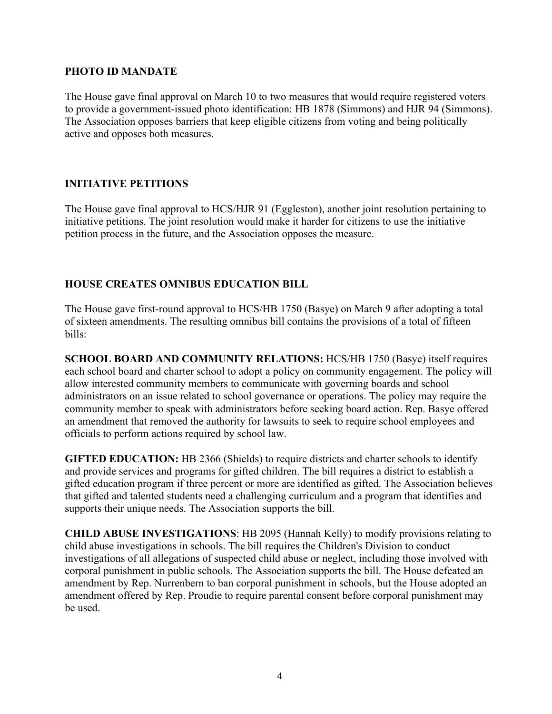#### **PHOTO ID MANDATE**

The House gave final approval on March 10 to two measures that would require registered voters to provide a government-issued photo identification: HB 1878 (Simmons) and HJR 94 (Simmons). The Association opposes barriers that keep eligible citizens from voting and being politically active and opposes both measures.

# **INITIATIVE PETITIONS**

The House gave final approval to HCS/HJR 91 (Eggleston), another joint resolution pertaining to initiative petitions. The joint resolution would make it harder for citizens to use the initiative petition process in the future, and the Association opposes the measure.

# **HOUSE CREATES OMNIBUS EDUCATION BILL**

The House gave first-round approval to HCS/HB 1750 (Basye) on March 9 after adopting a total of sixteen amendments. The resulting omnibus bill contains the provisions of a total of fifteen bills:

**SCHOOL BOARD AND COMMUNITY RELATIONS:** HCS/HB 1750 (Basye) itself requires each school board and charter school to adopt a policy on community engagement. The policy will allow interested community members to communicate with governing boards and school administrators on an issue related to school governance or operations. The policy may require the community member to speak with administrators before seeking board action. Rep. Basye offered an amendment that removed the authority for lawsuits to seek to require school employees and officials to perform actions required by school law.

**GIFTED EDUCATION:** HB 2366 (Shields) to require districts and charter schools to identify and provide services and programs for gifted children. The bill requires a district to establish a gifted education program if three percent or more are identified as gifted. The Association believes that gifted and talented students need a challenging curriculum and a program that identifies and supports their unique needs. The Association supports the bill.

**CHILD ABUSE INVESTIGATIONS**: HB 2095 (Hannah Kelly) to modify provisions relating to child abuse investigations in schools. The bill requires the Children's Division to conduct investigations of all allegations of suspected child abuse or neglect, including those involved with corporal punishment in public schools. The Association supports the bill. The House defeated an amendment by Rep. Nurrenbern to ban corporal punishment in schools, but the House adopted an amendment offered by Rep. Proudie to require parental consent before corporal punishment may be used.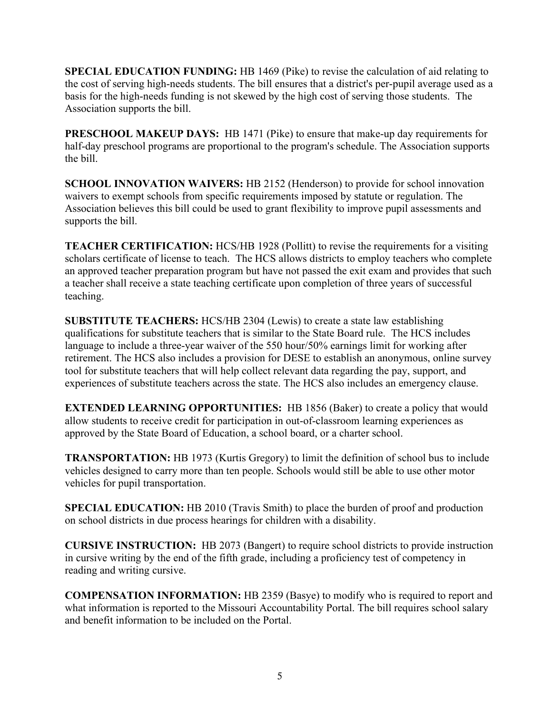**SPECIAL EDUCATION FUNDING:** HB 1469 (Pike) to revise the calculation of aid relating to the cost of serving high-needs students. The bill ensures that a district's per-pupil average used as a basis for the high-needs funding is not skewed by the high cost of serving those students. The Association supports the bill.

**PRESCHOOL MAKEUP DAYS:** HB 1471 (Pike) to ensure that make-up day requirements for half-day preschool programs are proportional to the program's schedule. The Association supports the bill.

**SCHOOL INNOVATION WAIVERS:** HB 2152 (Henderson) to provide for school innovation waivers to exempt schools from specific requirements imposed by statute or regulation. The Association believes this bill could be used to grant flexibility to improve pupil assessments and supports the bill.

**TEACHER CERTIFICATION:** HCS/HB 1928 (Pollitt) to revise the requirements for a visiting scholars certificate of license to teach. The HCS allows districts to employ teachers who complete an approved teacher preparation program but have not passed the exit exam and provides that such a teacher shall receive a state teaching certificate upon completion of three years of successful teaching.

**SUBSTITUTE TEACHERS:** HCS/HB 2304 (Lewis) to create a state law establishing qualifications for substitute teachers that is similar to the State Board rule. The HCS includes language to include a three-year waiver of the 550 hour/50% earnings limit for working after retirement. The HCS also includes a provision for DESE to establish an anonymous, online survey tool for substitute teachers that will help collect relevant data regarding the pay, support, and experiences of substitute teachers across the state. The HCS also includes an emergency clause.

**EXTENDED LEARNING OPPORTUNITIES:** HB 1856 (Baker) to create a policy that would allow students to receive credit for participation in out-of-classroom learning experiences as approved by the State Board of Education, a school board, or a charter school.

**TRANSPORTATION:** HB 1973 (Kurtis Gregory) to limit the definition of school bus to include vehicles designed to carry more than ten people. Schools would still be able to use other motor vehicles for pupil transportation.

**SPECIAL EDUCATION:** HB 2010 (Travis Smith) to place the burden of proof and production on school districts in due process hearings for children with a disability.

**CURSIVE INSTRUCTION:** HB 2073 (Bangert) to require school districts to provide instruction in cursive writing by the end of the fifth grade, including a proficiency test of competency in reading and writing cursive.

**COMPENSATION INFORMATION:** HB 2359 (Basye) to modify who is required to report and what information is reported to the Missouri Accountability Portal. The bill requires school salary and benefit information to be included on the Portal.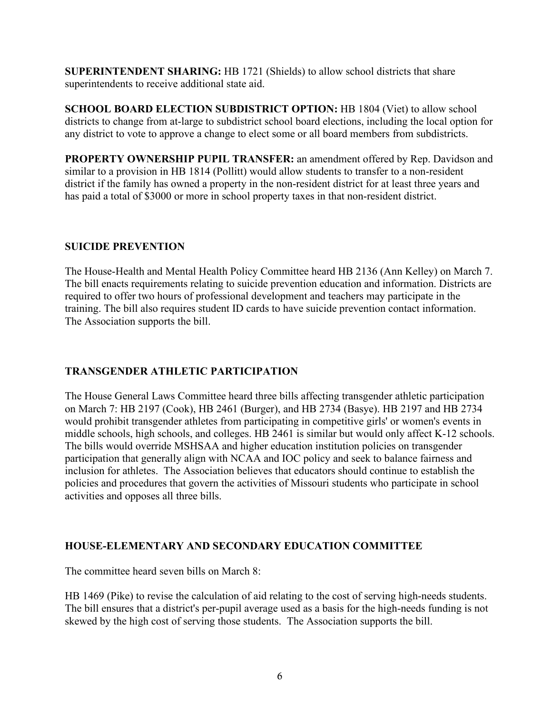**SUPERINTENDENT SHARING:** HB 1721 (Shields) to allow school districts that share superintendents to receive additional state aid.

**SCHOOL BOARD ELECTION SUBDISTRICT OPTION: HB 1804 (Viet) to allow school** districts to change from at-large to subdistrict school board elections, including the local option for any district to vote to approve a change to elect some or all board members from subdistricts.

**PROPERTY OWNERSHIP PUPIL TRANSFER:** an amendment offered by Rep. Davidson and similar to a provision in HB 1814 (Pollitt) would allow students to transfer to a non-resident district if the family has owned a property in the non-resident district for at least three years and has paid a total of \$3000 or more in school property taxes in that non-resident district.

### **SUICIDE PREVENTION**

The House-Health and Mental Health Policy Committee heard HB 2136 (Ann Kelley) on March 7. The bill enacts requirements relating to suicide prevention education and information. Districts are required to offer two hours of professional development and teachers may participate in the training. The bill also requires student ID cards to have suicide prevention contact information. The Association supports the bill.

## **TRANSGENDER ATHLETIC PARTICIPATION**

The House General Laws Committee heard three bills affecting transgender athletic participation on March 7: HB 2197 (Cook), HB 2461 (Burger), and HB 2734 (Basye). HB 2197 and HB 2734 would prohibit transgender athletes from participating in competitive girls' or women's events in middle schools, high schools, and colleges. HB 2461 is similar but would only affect K-12 schools. The bills would override MSHSAA and higher education institution policies on transgender participation that generally align with NCAA and IOC policy and seek to balance fairness and inclusion for athletes. The Association believes that educators should continue to establish the policies and procedures that govern the activities of Missouri students who participate in school activities and opposes all three bills.

## **HOUSE-ELEMENTARY AND SECONDARY EDUCATION COMMITTEE**

The committee heard seven bills on March 8:

HB 1469 (Pike) to revise the calculation of aid relating to the cost of serving high-needs students. The bill ensures that a district's per-pupil average used as a basis for the high-needs funding is not skewed by the high cost of serving those students. The Association supports the bill.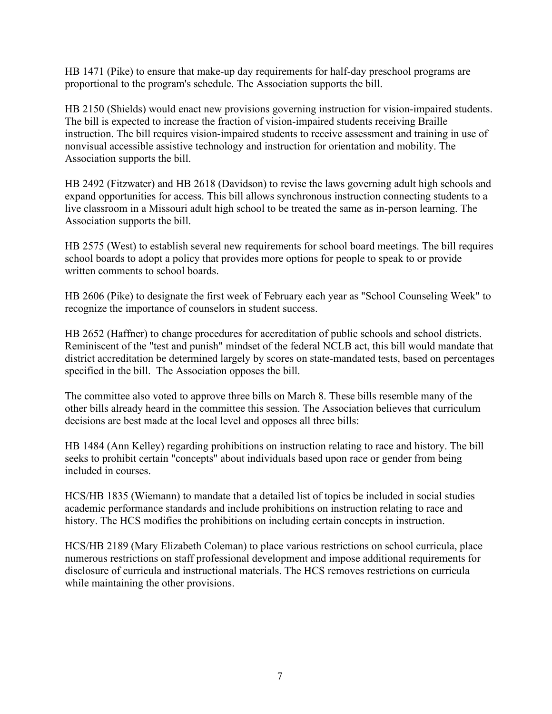HB 1471 (Pike) to ensure that make-up day requirements for half-day preschool programs are proportional to the program's schedule. The Association supports the bill.

HB 2150 (Shields) would enact new provisions governing instruction for vision-impaired students. The bill is expected to increase the fraction of vision-impaired students receiving Braille instruction. The bill requires vision-impaired students to receive assessment and training in use of nonvisual accessible assistive technology and instruction for orientation and mobility. The Association supports the bill.

HB 2492 (Fitzwater) and HB 2618 (Davidson) to revise the laws governing adult high schools and expand opportunities for access. This bill allows synchronous instruction connecting students to a live classroom in a Missouri adult high school to be treated the same as in-person learning. The Association supports the bill.

HB 2575 (West) to establish several new requirements for school board meetings. The bill requires school boards to adopt a policy that provides more options for people to speak to or provide written comments to school boards.

HB 2606 (Pike) to designate the first week of February each year as "School Counseling Week" to recognize the importance of counselors in student success.

HB 2652 (Haffner) to change procedures for accreditation of public schools and school districts. Reminiscent of the "test and punish" mindset of the federal NCLB act, this bill would mandate that district accreditation be determined largely by scores on state-mandated tests, based on percentages specified in the bill. The Association opposes the bill.

The committee also voted to approve three bills on March 8. These bills resemble many of the other bills already heard in the committee this session. The Association believes that curriculum decisions are best made at the local level and opposes all three bills:

HB 1484 (Ann Kelley) regarding prohibitions on instruction relating to race and history. The bill seeks to prohibit certain "concepts" about individuals based upon race or gender from being included in courses.

HCS/HB 1835 (Wiemann) to mandate that a detailed list of topics be included in social studies academic performance standards and include prohibitions on instruction relating to race and history. The HCS modifies the prohibitions on including certain concepts in instruction.

HCS/HB 2189 (Mary Elizabeth Coleman) to place various restrictions on school curricula, place numerous restrictions on staff professional development and impose additional requirements for disclosure of curricula and instructional materials. The HCS removes restrictions on curricula while maintaining the other provisions.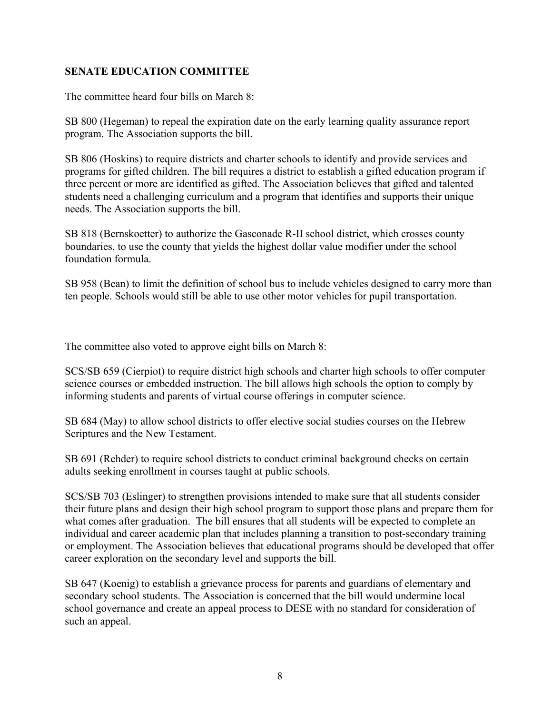# **SENATE EDUCATION COMMITTEE**

The committee heard four bills on March 8:

SB 800 (Hegeman) to repeal the expiration date on the early learning quality assurance report program. The Association supports the bill.

SB 806 (Hoskins) to require districts and charter schools to identify and provide services and programs for gifted children. The bill requires a district to establish a gifted education program if three percent or more are identified as gifted. The Association believes that gifted and talented students need a challenging curriculum and a program that identifies and supports their unique needs. The Association supports the bill.

SB 818 (Bernskoetter) to authorize the Gasconade R-II school district, which crosses county boundaries, to use the county that yields the highest dollar value modifier under the school foundation formula.

SB 958 (Bean) to limit the definition of school bus to include vehicles designed to carry more than ten people. Schools would still be able to use other motor vehicles for pupil transportation.

The committee also voted to approve eight bills on March 8:

SCS/SB 659 (Cierpiot) to require district high schools and charter high schools to offer computer science courses or embedded instruction. The bill allows high schools the option to comply by informing students and parents of virtual course offerings in computer science.

SB 684 (May) to allow school districts to offer elective social studies courses on the Hebrew Scriptures and the New Testament.

SB 691 (Rehder) to require school districts to conduct criminal background checks on certain adults seeking enrollment in courses taught at public schools.

SCS/SB 703 (Eslinger) to strengthen provisions intended to make sure that all students consider their future plans and design their high school program to support those plans and prepare them for what comes after graduation. The bill ensures that all students will be expected to complete an individual and career academic plan that includes planning a transition to post-secondary training or employment. The Association believes that educational programs should be developed that offer career exploration on the secondary level and supports the bill.

SB 647 (Koenig) to establish a grievance process for parents and guardians of elementary and secondary school students. The Association is concerned that the bill would undermine local school governance and create an appeal process to DESE with no standard for consideration of such an appeal.